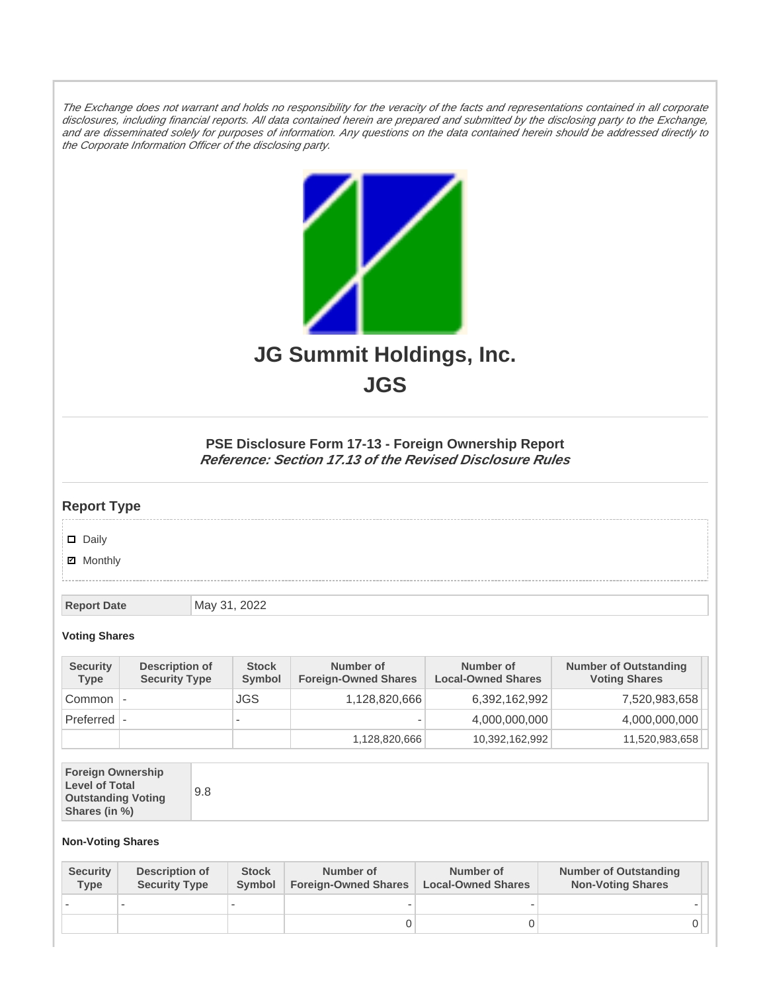The Exchange does not warrant and holds no responsibility for the veracity of the facts and representations contained in all corporate disclosures, including financial reports. All data contained herein are prepared and submitted by the disclosing party to the Exchange, and are disseminated solely for purposes of information. Any questions on the data contained herein should be addressed directly to the Corporate Information Officer of the disclosing party.



**JGS**

## **PSE Disclosure Form 17-13 - Foreign Ownership Report Reference: Section 17.13 of the Revised Disclosure Rules**

## **Report Type**

Daily

**Ø** Monthly

**Report Date** May 31, 2022

## **Voting Shares**

| <b>Security</b><br>Type | Description of<br><b>Security Type</b> | <b>Stock</b><br>Symbol   | Number of<br><b>Foreign-Owned Shares</b> | Number of<br><b>Local-Owned Shares</b> | <b>Number of Outstanding</b><br><b>Voting Shares</b> |
|-------------------------|----------------------------------------|--------------------------|------------------------------------------|----------------------------------------|------------------------------------------------------|
| Common                  |                                        | JGS                      | 1,128,820,666                            | 6,392,162,992                          | 7,520,983,658                                        |
| Preferred  -            |                                        | $\overline{\phantom{0}}$ |                                          | 4,000,000,000                          | 4,000,000,000                                        |
|                         |                                        |                          | 1,128,820,666                            | 10,392,162,992                         | 11,520,983,658                                       |

| <b>Foreign Ownership</b><br><b>Level of Total</b><br><b>Outstanding Voting</b><br>Shares (in %) |
|-------------------------------------------------------------------------------------------------|
|-------------------------------------------------------------------------------------------------|

## **Non-Voting Shares**

| <b>Security</b><br>Type | <b>Description of</b><br><b>Security Type</b> | <b>Stock</b><br>Symbol | Number of<br><b>Foreign-Owned Shares</b> | Number of<br><b>Local-Owned Shares</b> | <b>Number of Outstanding</b><br><b>Non-Voting Shares</b> |
|-------------------------|-----------------------------------------------|------------------------|------------------------------------------|----------------------------------------|----------------------------------------------------------|
|                         |                                               |                        |                                          |                                        |                                                          |
|                         |                                               |                        |                                          |                                        |                                                          |